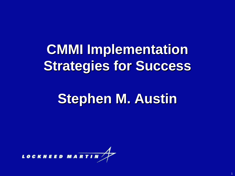# **CMMI Implementation Strategies for Success**

## **Stephen M. Austin**

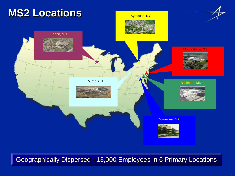

Geographically Dispersed - 13,000 Employees in 6 Primary Locations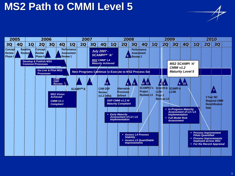#### **MS2 Path to CMMI Level 5**

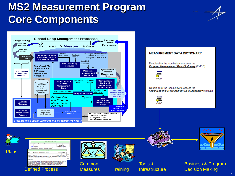#### **MS2 Measurement Program Core Components**



**Training** 

Defined Process **Deasures Defined Process Decision Making** 

**Measures** 

**Infrastructure** 

Business & Program

4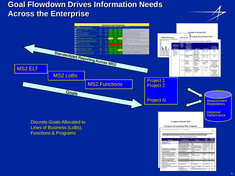#### **Goal Flowdown Drives Information Needs Across the Enterprise**